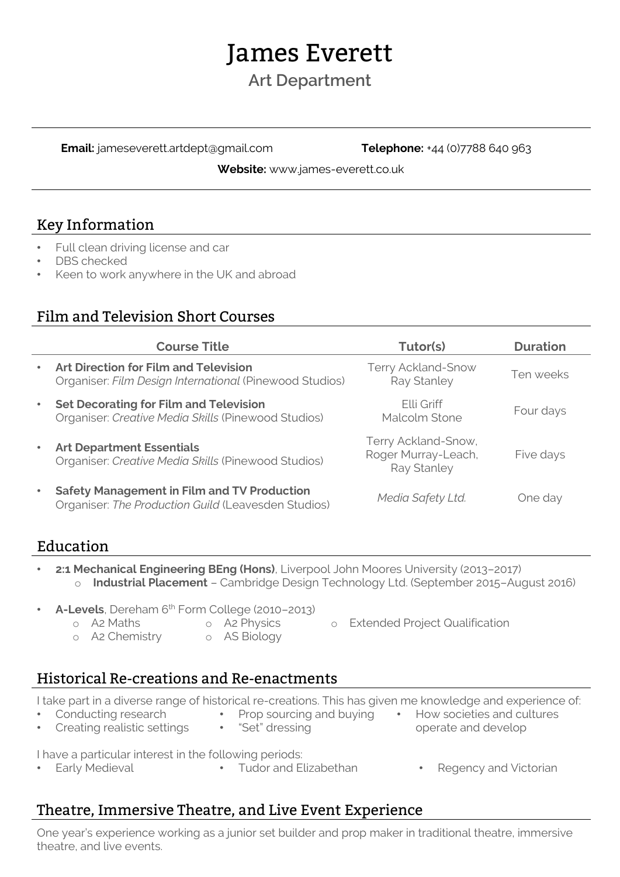# James Everett

# **Art Department**

**Email:** jameseverett.artdept@gmail.com **Telephone:** +44 (0)7788 640 963

**Website:** www.james-everett.co.uk

#### Key Information

- Full clean driving license and car
- DBS checked
- Keen to work anywhere in the UK and abroad

#### Film and Television Short Courses

|           | <b>Course Title</b>                                                                                       | Tutor(s)                                                  | <b>Duration</b> |
|-----------|-----------------------------------------------------------------------------------------------------------|-----------------------------------------------------------|-----------------|
| $\bullet$ | <b>Art Direction for Film and Television</b><br>Organiser: Film Design International (Pinewood Studios)   | <b>Terry Ackland-Snow</b><br>Ray Stanley                  | Ten weeks       |
| $\bullet$ | <b>Set Decorating for Film and Television</b><br>Organiser: Creative Media Skills (Pinewood Studios)      | Flli Griff<br>Malcolm Stone                               | Four days       |
| $\bullet$ | <b>Art Department Essentials</b><br>Organiser: Creative Media Skills (Pinewood Studios)                   | Terry Ackland-Snow,<br>Roger Murray-Leach,<br>Ray Stanley | Five days       |
| $\bullet$ | <b>Safety Management in Film and TV Production</b><br>Organiser: The Production Guild (Leavesden Studios) | Media Safety Ltd.                                         | One day         |

## Education

- **2:1 Mechanical Engineering BEng (Hons)**, Liverpool John Moores University (2013–2017) o **Industrial Placement** – Cambridge Design Technology Ltd. (September 2015–August 2016)
- **A-Levels**, Dereham 6th Form College (2010–2013)
	- -
	- o A2 Maths o A2 Physics o Extended Project Qualification
	- o A2 Chemistry o AS Biology
		-

## Historical Re-creations and Re-enactments

I take part in a diverse range of historical re-creations. This has given me knowledge and experience of:

- Conducting research • Creating realistic settings
- "Set" dressing
- Prop sourcing and buying How societies and cultures operate and develop

I have a particular interest in the following periods:

- Early Medieval Tudor and Elizabethan Regency and Victorian
- 

## Theatre, Immersive Theatre, and Live Event Experience

One year's experience working as a junior set builder and prop maker in traditional theatre, immersive theatre, and live events.